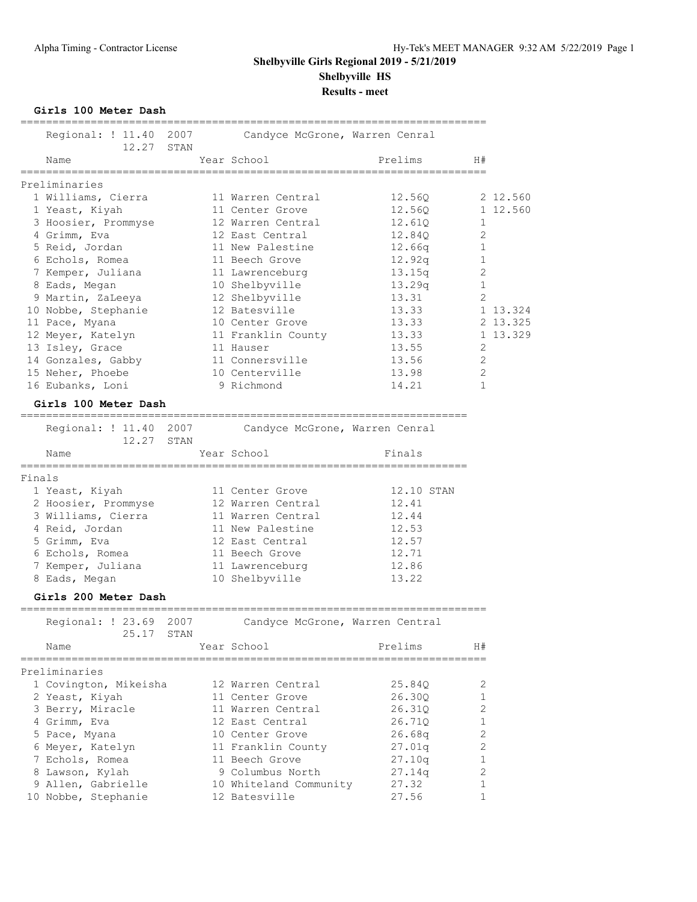**Girls 100 Meter Dash**

|        | GIIIS IUU METEI DASN                                 |            |                                                        |            |              |          |
|--------|------------------------------------------------------|------------|--------------------------------------------------------|------------|--------------|----------|
|        | Regional: ! 11.40 2007                               | 12.27 STAN | Candyce McGrone, Warren Cenral                         |            |              |          |
|        | Name                                                 |            | Year School                                            | Prelims    | H#           |          |
|        | Preliminaries                                        |            |                                                        |            |              |          |
|        | 1 Williams, Cierra                                   |            | 11 Warren Central                                      | 12.56Q     |              | 2 12.560 |
|        | 1 Yeast, Kiyah                                       |            | 11 Center Grove                                        | 12.560     |              | 1 12.560 |
|        | 3 Hoosier, Prommyse                                  |            | 12 Warren Central                                      | 12.61Q     | 1            |          |
|        | 4 Grimm, Eva                                         |            | 12 East Central                                        | 12.84Q     | 2            |          |
|        | 5 Reid, Jordan                                       |            | 11 New Palestine                                       | 12.66q     | 1            |          |
|        | 6 Echols, Romea                                      |            | 11 Beech Grove                                         | 12.92q     | $\mathbf{1}$ |          |
|        | 7 Kemper, Juliana                                    |            | 11 Lawrenceburg                                        | 13.15q     | 2            |          |
|        | 8 Eads, Megan                                        |            | 10 Shelbyville                                         | 13.29q     | 1            |          |
|        | 9 Martin, ZaLeeya                                    |            | 12 Shelbyville                                         | 13.31      | 2            |          |
|        | 10 Nobbe, Stephanie                                  |            | 12 Batesville                                          | 13.33      |              | 1 13.324 |
|        | 11 Pace, Myana                                       |            | 10 Center Grove                                        | 13.33      |              | 2 13.325 |
|        | 12 Meyer, Katelyn                                    |            | 11 Franklin County                                     | 13.33      |              | 1 13.329 |
|        | 13 Isley, Grace                                      |            | 11 Hauser                                              | 13.55      | 2            |          |
|        | 14 Gonzales, Gabby                                   |            | 11 Connersville                                        | 13.56      | 2            |          |
|        | 15 Neher, Phoebe                                     |            | 10 Centerville                                         | 13.98      | 2            |          |
|        | 16 Eubanks, Loni                                     |            | 9 Richmond                                             | 14.21      | $\mathbf{1}$ |          |
|        |                                                      |            |                                                        |            |              |          |
|        | Girls 100 Meter Dash<br>============================ |            |                                                        |            |              |          |
|        |                                                      |            | Regional: ! 11.40 2007 Candyce McGrone, Warren Cenral  |            |              |          |
|        |                                                      | 12.27 STAN |                                                        |            |              |          |
|        | Name                                                 |            | Year School                                            | Finals     |              |          |
|        |                                                      |            |                                                        |            |              |          |
| Finals |                                                      |            |                                                        |            |              |          |
|        | 1 Yeast, Kiyah                                       |            | 11 Center Grove                                        | 12.10 STAN |              |          |
|        | 2 Hoosier, Prommyse                                  |            | 12 Warren Central                                      | 12.41      |              |          |
|        | 3 Williams, Cierra                                   |            | 11 Warren Central                                      | 12.44      |              |          |
|        | 4 Reid, Jordan                                       |            | 11 New Palestine                                       | 12.53      |              |          |
|        | 5 Grimm, Eva                                         |            | 12 East Central                                        | 12.57      |              |          |
|        | 6 Echols, Romea<br>7 Kemper, Juliana                 |            | 11 Beech Grove                                         | 12.71      |              |          |
|        |                                                      |            | 11 Lawrenceburg                                        | 12.86      |              |          |
|        | 8 Eads, Megan                                        |            | 10 Shelbyville                                         | 13.22      |              |          |
|        | Girls 200 Meter Dash                                 |            |                                                        |            |              |          |
|        | 25.17                                                | STAN       | Regional: ! 23.69 2007 Candyce McGrone, Warren Central |            |              |          |
|        | Name                                                 |            | Year School                                            | Prelims    | H#           |          |
|        |                                                      |            |                                                        |            |              |          |
|        | Preliminaries                                        |            |                                                        |            |              |          |
|        | 1 Covington, Mikeisha                                |            | 12 Warren Central                                      | 25.84Q     | 2            |          |
|        | 2 Yeast, Kiyah                                       |            | 11 Center Grove                                        | 26.30Q     | 1            |          |
|        | 3 Berry, Miracle                                     |            | 11 Warren Central                                      | 26.31Q     | 2            |          |
|        | 4 Grimm, Eva                                         |            | 12 East Central                                        | 26.71Q     | 1            |          |
|        | 5 Pace, Myana                                        |            | 10 Center Grove                                        | 26.68q     | 2            |          |
|        | 6 Meyer, Katelyn                                     |            | 11 Franklin County                                     | 27.01q     | 2            |          |
|        | 7 Echols, Romea                                      |            | 11 Beech Grove                                         | 27.10q     | $\mathbf 1$  |          |
|        | 8 Lawson, Kylah                                      |            | 9 Columbus North                                       | 27.14q     | 2            |          |
|        | 9 Allen, Gabrielle                                   |            | 10 Whiteland Community                                 | 27.32      | 1            |          |
|        | 10 Nobbe, Stephanie                                  |            | 12 Batesville                                          | 27.56      | 1            |          |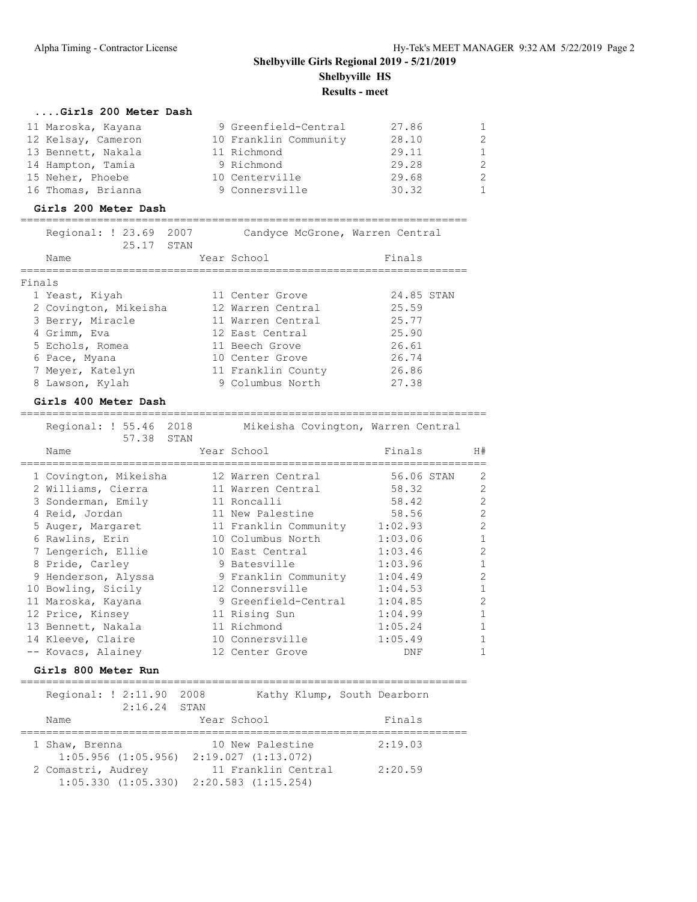### **....Girls 200 Meter Dash**

| 11 Maroska, Kayana | 9 Greenfield-Central  | 27.86 | $\mathbf{1}$ |
|--------------------|-----------------------|-------|--------------|
| 12 Kelsay, Cameron | 10 Franklin Community | 28.10 | 2            |
| 13 Bennett, Nakala | 11 Richmond           | 29.11 | $\mathbf{1}$ |
| 14 Hampton, Tamia  | 9 Richmond            | 29.28 | 2            |
| 15 Neher, Phoebe   | 10 Centerville        | 29.68 | 2            |
| 16 Thomas, Brianna | 9 Connersville        | 30.32 | $\mathbf{1}$ |

#### **Girls 200 Meter Dash**

|        | Regional: ! 23.69 2007<br>25.17<br>STAN | Candyce McGrone, Warren Central |            |
|--------|-----------------------------------------|---------------------------------|------------|
|        | Name                                    | Year School                     | Finals     |
| Finals |                                         |                                 |            |
|        | 1 Yeast, Kiyah                          | 11 Center Grove                 | 24.85 STAN |
|        | 2 Covington, Mikeisha                   | 12 Warren Central               | 25.59      |
|        | 3 Berry, Miracle                        | 11 Warren Central               | 25.77      |
|        | 4 Grimm, Eva                            | 12 East Central                 | 25.90      |
|        | 5 Echols, Romea                         | 11 Beech Grove                  | 26.61      |
|        | 6 Pace, Myana                           | 10 Center Grove                 | 26.74      |
|        | 7 Meyer, Katelyn                        | 11 Franklin County              | 26.86      |
|        | 8 Lawson, Kylah                         | 9 Columbus North                | 27.38      |

#### **Girls 400 Meter Dash**

| Regional: ! 55.46 2018<br>57.38<br>STAN | Mikeisha Covington, Warren Central |            |                |
|-----------------------------------------|------------------------------------|------------|----------------|
| Name                                    | Year School                        | Finals     | H#             |
| 1 Covington, Mikeisha                   | 12 Warren Central                  | 56.06 STAN | 2              |
| 2 Williams, Cierra                      | 11 Warren Central                  | 58.32      | 2              |
| 3 Sonderman, Emily                      | 11 Roncalli                        | 58.42      | $\overline{2}$ |
| 4 Reid, Jordan                          | 11 New Palestine                   | 58.56      | $\overline{2}$ |
| 5 Auger, Margaret                       | 11 Franklin Community              | 1:02.93    | $\overline{c}$ |
| 6 Rawlins, Erin                         | 10 Columbus North                  | 1:03.06    | $\mathbf{1}$   |
| 7 Lengerich, Ellie                      | 10 East Central                    | 1:03.46    | 2              |
| 8 Pride, Carley                         | 9 Batesville                       | 1:03.96    |                |
| 9 Henderson, Alyssa                     | 9 Franklin Community               | 1:04.49    | 2              |
| 10 Bowling, Sicily                      | 12 Connersville                    | 1:04.53    |                |
| 11 Maroska, Kayana                      | 9 Greenfield-Central               | 1:04.85    | $\mathfrak{D}$ |
| 12 Price, Kinsey                        | 11 Rising Sun                      | 1:04.99    |                |
| 13 Bennett, Nakala                      | 11 Richmond                        | 1:05.24    | 1              |
| 14 Kleeve, Claire                       | 10 Connersville                    | 1:05.49    | $\mathbf{1}$   |
| -- Kovacs, Alainey                      | 12 Center Grove                    | DNF        |                |

=========================================================================

#### **Girls 800 Meter Run**

======================================================================

| Regional: ! 2:11.90<br>$2:16.24$ STAN | 2008                                                                   | Kathy Klump, South Dearborn |
|---------------------------------------|------------------------------------------------------------------------|-----------------------------|
| Name                                  | Year School                                                            | Finals                      |
| 1 Shaw, Brenna                        | 10 New Palestine<br>$1:05.956$ $(1:05.956)$ $2:19.027$ $(1:13.072)$    | 2:19.03                     |
| 2 Comastri, Audrey                    | 11 Franklin Central<br>$1:05.330$ $(1:05.330)$ $2:20.583$ $(1:15.254)$ | 2:20.59                     |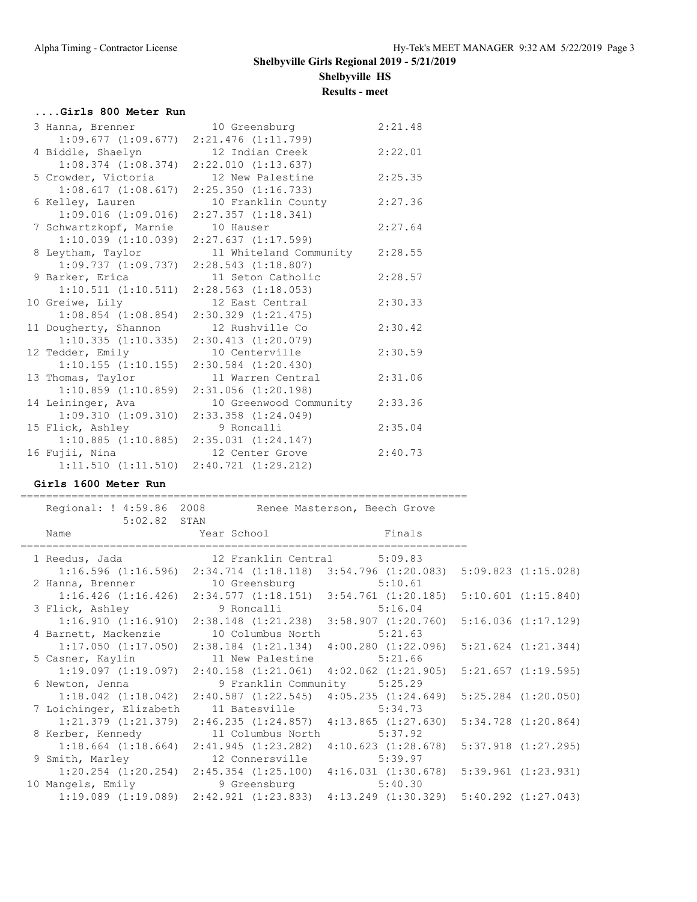### **....Girls 800 Meter Run**

| 3 Hanna, Brenner        | 10 Greensburg           | 2:21.48 |
|-------------------------|-------------------------|---------|
| 1:09.677(1:09.677)      | $2:21.476$ $(1:11.799)$ |         |
| 4 Biddle, Shaelyn       | 12 Indian Creek         | 2:22.01 |
| $1:08.374$ $(1:08.374)$ | 2:22.010(1:13.637)      |         |
| 5 Crowder, Victoria     | 12 New Palestine        | 2:25.35 |
| 1:08.617(1:08.617)      | $2:25.350$ $(1:16.733)$ |         |
| 6 Kelley, Lauren        | 10 Franklin County      | 2:27.36 |
| 1:09.016(1:09.016)      | $2:27.357$ $(1:18.341)$ |         |
| 7 Schwartzkopf, Marnie  | 10 Hauser               | 2:27.64 |
| 1:10.039(1:10.039)      | $2:27.637$ $(1:17.599)$ |         |
| 8 Leytham, Taylor       | 11 Whiteland Community  | 2:28.55 |
| 1:09.737(1:09.737)      | 2:28.543 (1:18.807)     |         |
| 9 Barker, Erica         | 11 Seton Catholic       | 2:28.57 |
| 1:10.511(1:10.511)      | $2:28.563$ $(1:18.053)$ |         |
| 10 Greiwe, Lily         | 12 East Central         | 2:30.33 |
| $1:08.854$ $(1:08.854)$ | $2:30.329$ $(1:21.475)$ |         |
| 11 Dougherty, Shannon   | 12 Rushville Co         | 2:30.42 |
| 1:10.335(1:10.335)      | 2:30.413(1:20.079)      |         |
| 12 Tedder, Emily        | 10 Centerville          | 2:30.59 |
| $1:10.155$ $(1:10.155)$ | $2:30.584$ $(1:20.430)$ |         |
|                         |                         |         |
| 13 Thomas, Taylor       | 11 Warren Central       | 2:31.06 |
| $1:10.859$ $(1:10.859)$ | 2:31.056 (1:20.198)     |         |
| 14 Leininger, Ava       | 10 Greenwood Community  | 2:33.36 |
| 1:09.310(1:09.310)      | $2:33.358$ $(1:24.049)$ |         |
| 15 Flick, Ashley        | 9 Roncalli              | 2:35.04 |
| 1:10.885(1:10.885)      | $2:35.031$ $(1:24.147)$ |         |
| 16 Fujii, Nina          | 12 Center Grove         | 2:40.73 |

#### **Girls 1600 Meter Run**

======================================================================

| $5:02.82$ STAN          | Regional: ! 4:59.86 2008 Renee Masterson, Beech Grove                                           |                            |  |
|-------------------------|-------------------------------------------------------------------------------------------------|----------------------------|--|
|                         | Name Tear School Finals                                                                         | -------------------------- |  |
|                         | 1 Reedus, Jada (12 Franklin Central 5:09.83)                                                    |                            |  |
|                         | 1:16.596 (1:16.596) 2:34.714 (1:18.118) 3:54.796 (1:20.083) 5:09.823 (1:15.028)                 |                            |  |
|                         | 2 Hanna, Brenner 10 Greensburg 5:10.61                                                          |                            |  |
|                         | $1:16.426$ (1:16.426) $2:34.577$ (1:18.151) $3:54.761$ (1:20.185) $5:10.601$ (1:15.840)         |                            |  |
|                         | 3 Flick, Ashley 3 9 Roncalli                                                                    | 5:16.04                    |  |
|                         | $1:16.910$ $(1:16.910)$ $2:38.148$ $(1:21.238)$ $3:58.907$ $(1:20.760)$ $5:16.036$ $(1:17.129)$ |                            |  |
|                         | 4 Barnett, Mackenzie 10 Columbus North 5:21.63                                                  |                            |  |
|                         | $1:17.050$ $(1:17.050)$ $2:38.184$ $(1:21.134)$ $4:00.280$ $(1:22.096)$ $5:21.624$ $(1:21.344)$ |                            |  |
|                         | 5 Casner, Kaylin 11 New Palestine 5:21.66                                                       |                            |  |
|                         | $1:19.097$ $(1:19.097)$ $2:40.158$ $(1:21.061)$ $4:02.062$ $(1:21.905)$ $5:21.657$ $(1:19.595)$ |                            |  |
|                         | 6 Newton, Jenna 3 9 Franklin Community 5:25.29                                                  |                            |  |
|                         | $1:18.042$ (1:18.042) 2:40.587 (1:22.545) 4:05.235 (1:24.649) 5:25.284 (1:20.050)               |                            |  |
| 7 Loichinger, Elizabeth | 11 Batesville 5:34.73                                                                           |                            |  |
|                         | 1:21.379 (1:21.379) 2:46.235 (1:24.857) 4:13.865 (1:27.630) 5:34.728 (1:20.864)                 |                            |  |
|                         | 8 Kerber, Kennedy 11 Columbus North 5:37.92                                                     |                            |  |
|                         | $1:18.664$ $(1:18.664)$ $2:41.945$ $(1:23.282)$ $4:10.623$ $(1:28.678)$ $5:37.918$ $(1:27.295)$ |                            |  |
|                         | 9 Smith, Marley 12 Connersville 5:39.97                                                         |                            |  |
|                         | $1:20.254$ (1:20.254) $2:45.354$ (1:25.100) $4:16.031$ (1:30.678) 5:39.961 (1:23.931)           |                            |  |
|                         | 10 Mangels, Emily 9 Greensburg 5:40.30                                                          |                            |  |
|                         | 1:19.089 (1:19.089) 2:42.921 (1:23.833) 4:13.249 (1:30.329) 5:40.292 (1:27.043)                 |                            |  |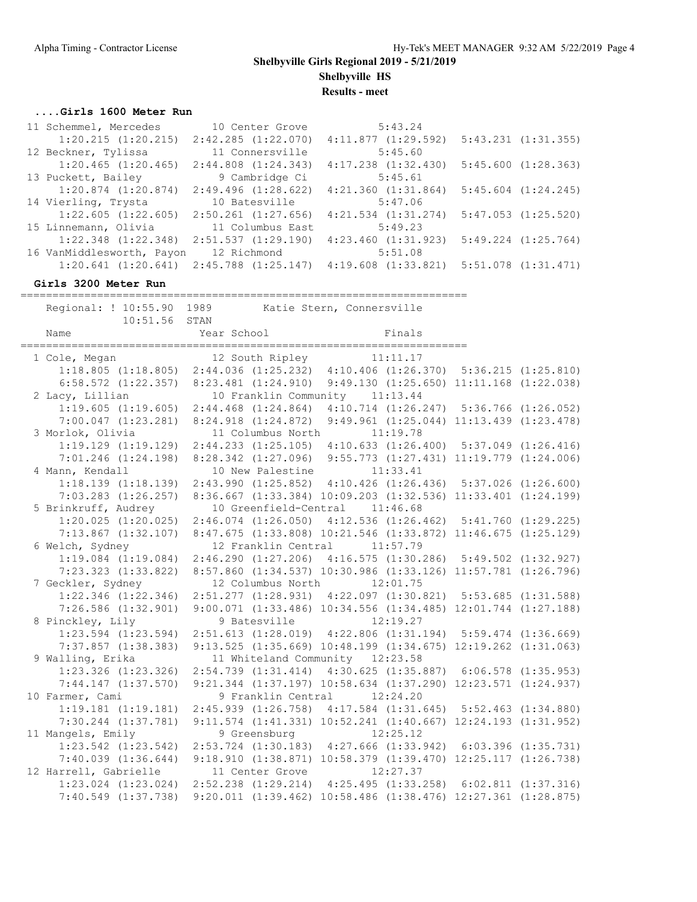**Results - meet**

#### **....Girls 1600 Meter Run**

| 11 Schemmel, Mercedes     | 10 Center Grove         | 5:43.24                 |                         |
|---------------------------|-------------------------|-------------------------|-------------------------|
| $1:20.215$ $(1:20.215)$   | 2:42.285(1:22.070)      | 4:11.877(1:29.592)      | $5:43.231$ $(1:31.355)$ |
| 12 Beckner, Tylissa       | 11 Connersville         | 5:45.60                 |                         |
| $1:20.465$ $(1:20.465)$   | $2:44.808$ $(1:24.343)$ | $4:17.238$ $(1:32.430)$ | 5:45.600(1:28.363)      |
| 13 Puckett, Bailey        | 9 Cambridge Ci          | 5:45.61                 |                         |
| $1:20.874$ $(1:20.874)$   | $2:49.496$ $(1:28.622)$ | $4:21.360$ $(1:31.864)$ | $5:45.604$ $(1:24.245)$ |
| 14 Vierling, Trysta       | 10 Batesville           | 5:47.06                 |                         |
| 1:22.605(1:22.605)        | $2:50.261$ $(1:27.656)$ | $4:21.534$ $(1:31.274)$ | $5:47.053$ $(1:25.520)$ |
| 15 Linnemann, Olivia      | 11 Columbus East        | 5:49.23                 |                         |
| $1:22.348$ $(1:22.348)$   | 2:51.537(1:29.190)      | 4:23.460(1:31.923)      | $5:49.224$ $(1:25.764)$ |
| 16 VanMiddlesworth, Payon | 12 Richmond             | 5:51.08                 |                         |
| $1:20.641$ $(1:20.641)$   | $2:45.788$ $(1:25.147)$ | 4:19.608(1:33.821)      | $5:51.078$ $(1:31.471)$ |

#### **Girls 3200 Meter Run**

====================================================================== Regional: ! 10:55.90 1989 Katie Stern, Connersville 10:51.56 STAN Name **Year School** Finals ====================================================================== 1 Cole, Megan 12 South Ripley 11:11.17 1:18.805 (1:18.805) 2:44.036 (1:25.232) 4:10.406 (1:26.370) 5:36.215 (1:25.810) 6:58.572 (1:22.357) 8:23.481 (1:24.910) 9:49.130 (1:25.650) 11:11.168 (1:22.038) 2 Lacy, Lillian 10 Franklin Community 11:13.44 1:19.605 (1:19.605) 2:44.468 (1:24.864) 4:10.714 (1:26.247) 5:36.766 (1:26.052) 7:00.047 (1:23.281) 8:24.918 (1:24.872) 9:49.961 (1:25.044) 11:13.439 (1:23.478) 3 Morlok, Olivia 11 Columbus North 11:19.78 1:19.129 (1:19.129) 2:44.233 (1:25.105) 4:10.633 (1:26.400) 5:37.049 (1:26.416) 7:01.246 (1:24.198) 8:28.342 (1:27.096) 9:55.773 (1:27.431) 11:19.779 (1:24.006) 4 Mann, Kendall 10 New Palestine 11:33.41 1:18.139 (1:18.139) 2:43.990 (1:25.852) 4:10.426 (1:26.436) 5:37.026 (1:26.600) 7:03.283 (1:26.257) 8:36.667 (1:33.384) 10:09.203 (1:32.536) 11:33.401 (1:24.199) 5 Brinkruff, Audrey 10 Greenfield-Central 11:46.68 1:20.025 (1:20.025) 2:46.074 (1:26.050) 4:12.536 (1:26.462) 5:41.760 (1:29.225) 7:13.867 (1:32.107) 8:47.675 (1:33.808) 10:21.546 (1:33.872) 11:46.675 (1:25.129) 6 Welch, Sydney 12 Franklin Central 11:57.79 1:19.084 (1:19.084) 2:46.290 (1:27.206) 4:16.575 (1:30.286) 5:49.502 (1:32.927) 7:23.323 (1:33.822) 8:57.860 (1:34.537) 10:30.986 (1:33.126) 11:57.781 (1:26.796) 7 Geckler, Sydney 12 Columbus North 12:01.75 1:22.346 (1:22.346) 2:51.277 (1:28.931) 4:22.097 (1:30.821) 5:53.685 (1:31.588) 7:26.586 (1:32.901) 9:00.071 (1:33.486) 10:34.556 (1:34.485) 12:01.744 (1:27.188) 8 Pinckley, Lily 9 Batesville 12:19.27 1:23.594 (1:23.594) 2:51.613 (1:28.019) 4:22.806 (1:31.194) 5:59.474 (1:36.669) 7:37.857 (1:38.383) 9:13.525 (1:35.669) 10:48.199 (1:34.675) 12:19.262 (1:31.063) 9 Walling, Erika 11 Whiteland Community 12:23.58 1:23.326 (1:23.326) 2:54.739 (1:31.414) 4:30.625 (1:35.887) 6:06.578 (1:35.953) 7:44.147 (1:37.570) 9:21.344 (1:37.197) 10:58.634 (1:37.290) 12:23.571 (1:24.937) 10 Farmer, Cami 9 Franklin Central 12:24.20 1:19.181 (1:19.181) 2:45.939 (1:26.758) 4:17.584 (1:31.645) 5:52.463 (1:34.880) 7:30.244 (1:37.781) 9:11.574 (1:41.331) 10:52.241 (1:40.667) 12:24.193 (1:31.952) 11 Mangels, Emily 9 Greensburg 12:25.12 1:23.542 (1:23.542) 2:53.724 (1:30.183) 4:27.666 (1:33.942) 6:03.396 (1:35.731) 7:40.039 (1:36.644) 9:18.910 (1:38.871) 10:58.379 (1:39.470) 12:25.117 (1:26.738) 12 Harrell, Gabrielle 11 Center Grove 12:27.37 1:23.024 (1:23.024) 2:52.238 (1:29.214) 4:25.495 (1:33.258) 6:02.811 (1:37.316) 7:40.549 (1:37.738) 9:20.011 (1:39.462) 10:58.486 (1:38.476) 12:27.361 (1:28.875)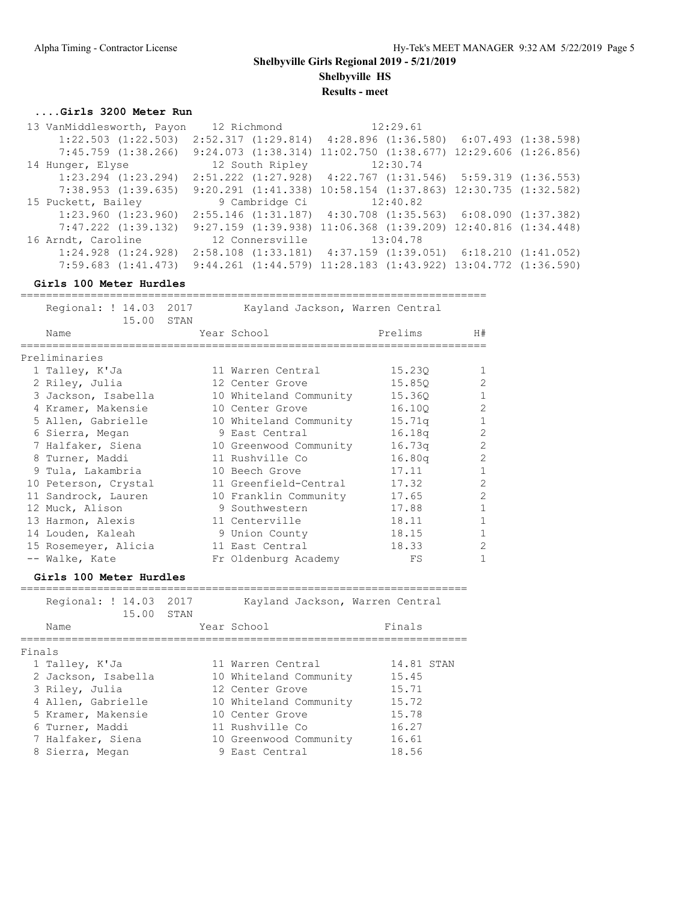### **....Girls 3200 Meter Run**

| 13 VanMiddlesworth, Payon | 12 Richmond        | 12:29.61                                                                |  |
|---------------------------|--------------------|-------------------------------------------------------------------------|--|
| $1:22.503$ $(1:22.503)$   |                    | $2:52.317$ $(1:29.814)$ $4:28.896$ $(1:36.580)$ $6:07.493$ $(1:38.598)$ |  |
| $7:45.759$ $(1:38.266)$   | 9:24.073(1:38.314) | $11:02.750$ $(1:38.677)$ $12:29.606$ $(1:26.856)$                       |  |
| 14 Hunger, Elyse          | 12 South Ripley    | 12:30.74                                                                |  |
| $1:23.294$ $(1:23.294)$   |                    | $2:51.222$ $(1:27.928)$ $4:22.767$ $(1:31.546)$ $5:59.319$ $(1:36.553)$ |  |
| 7:38.953(1:39.635)        | 9:20.291(1:41.338) | $10:58.154$ $(1:37.863)$ $12:30.735$ $(1:32.582)$                       |  |
|                           |                    |                                                                         |  |
| 15 Puckett, Bailey        | 9 Cambridge Ci     | 12:40.82                                                                |  |
| $1:23.960$ $(1:23.960)$   |                    | 2:55.146 (1:31.187) 4:30.708 (1:35.563) 6:08.090 (1:37.382)             |  |
| $7:47.222$ $(1:39.132)$   |                    | 9:27.159 (1:39.938) 11:06.368 (1:39.209) 12:40.816 (1:34.448)           |  |
| 16 Arndt, Caroline        | 12 Connersville    | 13:04.78                                                                |  |
| $1:24.928$ $(1:24.928)$   |                    | $2:58.108$ $(1:33.181)$ $4:37.159$ $(1:39.051)$ $6:18.210$ $(1:41.052)$ |  |

### **Girls 100 Meter Hurdles**

|        | Regional: ! 14.03 2017<br>15.00      | STAN | Kayland Jackson, Warren Central |            |                |
|--------|--------------------------------------|------|---------------------------------|------------|----------------|
|        | Name                                 |      | Year School                     | Prelims    | H#             |
|        | Preliminaries                        |      |                                 |            |                |
|        | 1 Talley, K'Ja                       |      | 11 Warren Central               | 15.230     | 1              |
|        | 2 Riley, Julia                       |      | 12 Center Grove                 | 15.850     | $\overline{c}$ |
|        | 3 Jackson, Isabella                  |      | 10 Whiteland Community          | 15.360     | $\mathbf{1}$   |
|        | 4 Kramer, Makensie                   |      | 10 Center Grove                 | 16.100     | $\overline{2}$ |
|        | 5 Allen, Gabrielle                   |      | 10 Whiteland Community          | 15.71q     | $\mathbf{1}$   |
|        | 6 Sierra, Megan                      |      | 9 East Central                  | 16.18q     | $\overline{c}$ |
|        | 7 Halfaker, Siena                    |      | 10 Greenwood Community          | 16.73q     | $\overline{c}$ |
|        | 8 Turner, Maddi                      |      | 11 Rushville Co                 | 16.80q     | $\overline{2}$ |
|        | 9 Tula, Lakambria                    |      | 10 Beech Grove                  | 17.11      | $\mathbf 1$    |
|        | 10 Peterson, Crystal                 |      | 11 Greenfield-Central           | 17.32      | $\overline{c}$ |
|        | 11 Sandrock, Lauren                  |      | 10 Franklin Community           | 17.65      | $\overline{c}$ |
|        | 12 Muck, Alison                      |      | 9 Southwestern                  | 17.88      | $\mathbf{1}$   |
|        | 13 Harmon, Alexis                    |      | 11 Centerville                  | 18.11      | $\mathbf{1}$   |
|        | 14 Louden, Kaleah                    |      | 9 Union County                  | 18.15      | $\mathbf 1$    |
|        | 15 Rosemeyer, Alicia                 |      | 11 East Central                 | 18.33      | $\mathbf{2}$   |
|        | -- Walke, Kate                       |      | Fr Oldenburg Academy            | FS         | $\mathbf{1}$   |
|        | Girls 100 Meter Hurdles              |      |                                 |            |                |
|        | Regional: ! 14.03 2017<br>15.00 STAN |      | Kayland Jackson, Warren Central |            |                |
|        | Name                                 |      | Year School                     | Finals     |                |
| Finals | ==========                           |      | -----------------               |            |                |
|        | 1 Talley, K'Ja                       |      | 11 Warren Central               | 14.81 STAN |                |
|        | 2 Jackson, Isabella                  |      | 10 Whiteland Community          | 15.45      |                |
|        | 3 Riley, Julia                       |      | 12 Center Grove                 | 15.71      |                |
|        | 4 Allen, Gabrielle                   |      | 10 Whiteland Community          | 15.72      |                |
|        | 5 Kramer, Makensie                   |      | 10 Center Grove                 | 15.78      |                |
|        | 6 Turner, Maddi                      |      | 11 Rushville Co                 | 16.27      |                |
|        | 7 Halfaker, Siena                    |      | 10 Greenwood Community          | 16.61      |                |
|        | 8 Sierra, Megan                      |      | 9 East Central                  | 18.56      |                |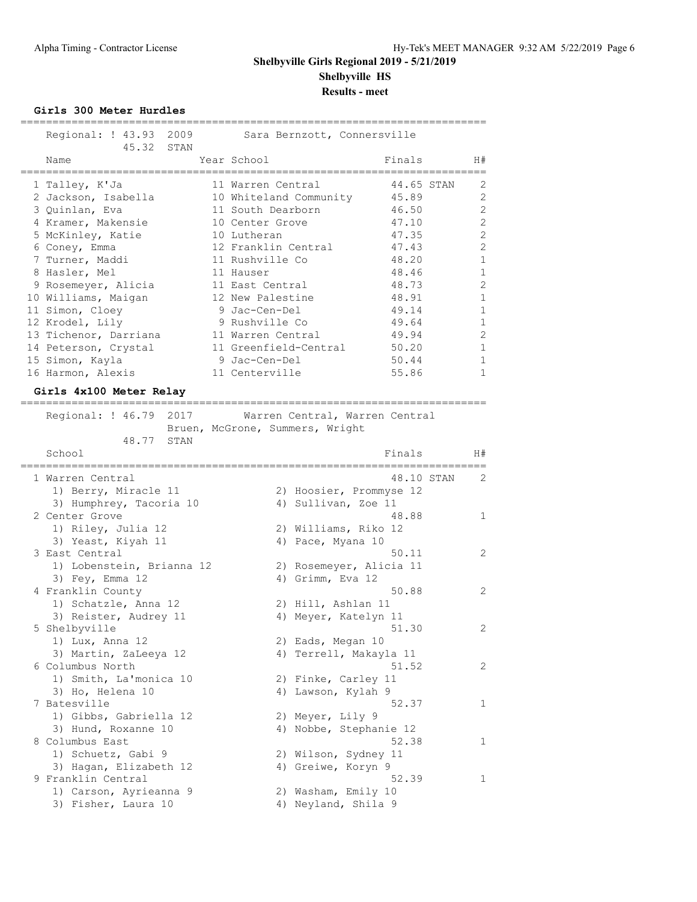**Girls 300 Meter Hurdles**

| Regional: ! 43.93 2009<br>Sara Bernzott, Connersville<br>45.32<br>STAN |                                |
|------------------------------------------------------------------------|--------------------------------|
| Name                                                                   | Finals                         |
| Year School                                                            | H#                             |
| 1 Talley, K'Ja                                                         | 2                              |
| 11 Warren Central                                                      | 44.65 STAN                     |
| 2 Jackson, Isabella                                                    | $\overline{c}$                 |
| 10 Whiteland Community                                                 | 45.89                          |
| 3 Quinlan, Eva                                                         | $\mathbf{2}$                   |
| 11 South Dearborn                                                      | 46.50                          |
| 4 Kramer, Makensie                                                     | $\mathbf{2}$                   |
| 10 Center Grove                                                        | 47.10                          |
| 5 McKinley, Katie                                                      | $\overline{c}$                 |
| 10 Lutheran                                                            | 47.35                          |
| 6 Coney, Emma                                                          | $\overline{c}$                 |
| 12 Franklin Central                                                    | 47.43                          |
| 7 Turner, Maddi                                                        | $\mathbf{1}$                   |
| 11 Rushville Co                                                        | 48.20                          |
| 8 Hasler, Mel                                                          | $\mathbf 1$                    |
| 11 Hauser                                                              | 48.46                          |
| 9 Rosemeyer, Alicia                                                    | $\mathbf{2}$                   |
| 11 East Central                                                        | 48.73                          |
| 10 Williams, Maigan                                                    | 48.91                          |
| 12 New Palestine                                                       | $\mathbf 1$                    |
| 11 Simon, Cloey                                                        | $\mathbf 1$                    |
| 9 Jac-Cen-Del                                                          | 49.14                          |
| 12 Krodel, Lily                                                        | 49.64                          |
| 9 Rushville Co                                                         | 1                              |
| 13 Tichenor, Darriana                                                  | $\overline{2}$                 |
| 11 Warren Central                                                      | 49.94                          |
| 14 Peterson, Crystal                                                   | $\mathbf 1$                    |
| 11 Greenfield-Central                                                  | 50.20                          |
| 15 Simon, Kayla                                                        | $\mathbf 1$                    |
| 9 Jac-Cen-Del                                                          | 50.44                          |
| 16 Harmon, Alexis                                                      | $\mathbf{1}$                   |
| 11 Centerville                                                         | 55.86                          |
| Girls 4x100 Meter Relay                                                |                                |
|                                                                        |                                |
| Regional: ! 46.79 2017                                                 | Warren Central, Warren Central |
| Bruen, McGrone, Summers, Wright                                        |                                |
| 48.77<br>STAN                                                          |                                |
| School                                                                 | Finals                         |
| ,,,,,,,,,,,,,,,,,,,,                                                   | H#                             |
| 1 Warren Central                                                       | 48.10 STAN<br>2                |
| 1) Berry, Miracle 11                                                   | 2) Hoosier, Prommyse 12        |
| 3) Humphrey, Tacoria 10                                                | 4) Sullivan, Zoe 11            |
| 2 Center Grove                                                         | 48.88<br>1                     |
| 1) Riley, Julia 12                                                     | 2) Williams, Riko 12           |
| 3) Yeast, Kiyah 11<br>4) Pace, Myana 10                                |                                |
| 3 East Central                                                         | 50.11<br>2                     |
| 1) Lobenstein, Brianna 12                                              | 2) Rosemeyer, Alicia 11        |
| 3) Fey, Emma 12<br>4) Grimm, Eva 12                                    |                                |
| 4 Franklin County                                                      | 50.88<br>2                     |
| 1) Schatzle, Anna 12<br>2) Hill, Ashlan 11                             |                                |
| 3) Reister, Audrey 11                                                  | 4) Meyer, Katelyn 11           |

5 Shelbyville 2012 and 51.30 2

1) Lux, Anna 12 2) Eads, Megan 10

| 3) Martin, ZaLeeya 12  | 4) Terrell, Makayla 11 |               |
|------------------------|------------------------|---------------|
| 6 Columbus North       | 51.52                  | $\mathcal{L}$ |
| 1) Smith, La'monica 10 | 2) Finke, Carley 11    |               |
| 3) Ho, Helena 10       | 4) Lawson, Kylah 9     |               |
| 7 Batesville           | 52.37                  | 1             |
| 1) Gibbs, Gabriella 12 | 2) Meyer, Lily 9       |               |
| 3) Hund, Roxanne 10    | 4) Nobbe, Stephanie 12 |               |
| 8 Columbus East        | 52.38                  | 1             |
| 1) Schuetz, Gabi 9     | 2) Wilson, Sydney 11   |               |
| 3) Hagan, Elizabeth 12 | 4) Greiwe, Koryn 9     |               |
| 9 Franklin Central     | 52.39                  | 1.            |
|                        |                        |               |

 1) Carson, Ayrieanna 9 2) Washam, Emily 10 3) Fisher, Laura 10  $\hskip1cm$  4) Neyland, Shila 9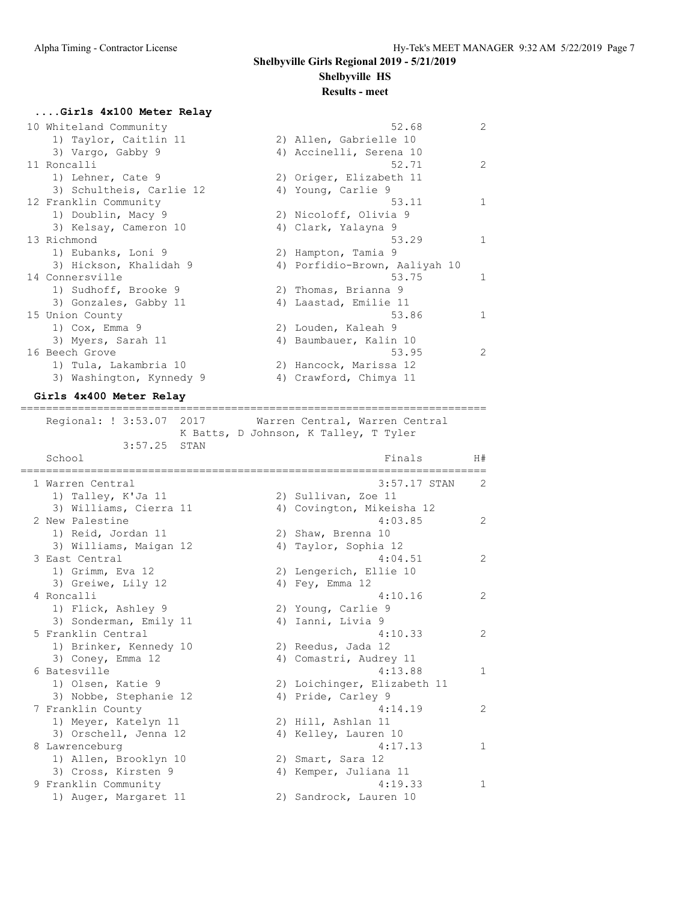#### **Results - meet**

### **....Girls 4x100 Meter Relay** 10 Whiteland Community 52.68 2 1) Taylor, Caitlin 11 2) Allen, Gabrielle 10 3) Vargo, Gabby 9 4) Accinelli, Serena 10 11 Roncalli 52.71 2 1) Lehner, Cate 9 2) Origer, Elizabeth 11 3) Schultheis, Carlie 12 (4) Young, Carlie 9 12 Franklin Community 12 1 and 53.11 1 1 1) Doublin, Macy 9 2) Nicoloff, Olivia 9 3) Kelsay, Cameron 10 (4) Clark, Yalayna 9 13 Richmond 53.29 1 1) Eubanks, Loni 9 2) Hampton, Tamia 9 3) Hickson, Khalidah 9 4) Porfidio-Brown, Aaliyah 10 14 Connersville 53.75 1 1) Sudhoff, Brooke 9 2) Thomas, Brianna 9 3) Gonzales, Gabby 11 4) Laastad, Emilie 11 15 Union County 53.86 1 1) Cox, Emma 9 2) Louden, Kaleah 9 3) Myers, Sarah 11 4) Baumbauer, Kalin 10 16 Beech Grove 53.95 2 1) Tula, Lakambria 10 2) Hancock, Marissa 12 3) Washington, Kynnedy 9 4) Crawford, Chimya 11

## **Girls 4x400 Meter Relay**

=========================================================================

 Regional: ! 3:53.07 2017 Warren Central, Warren Central K Batts, D Johnson, K Talley, T Tyler

| 3:57.25                | STAN |                                  |                |
|------------------------|------|----------------------------------|----------------|
| School                 |      | Finals                           | H#             |
| 1 Warren Central       |      | 3:57.17 STAN                     | 2              |
| 1) Talley, K'Ja 11     |      | 2) Sullivan, Zoe 11              |                |
| 3) Williams, Cierra 11 |      | 4) Covington, Mikeisha 12        |                |
| 2 New Palestine        |      | 4:03.85                          | $\mathfrak{D}$ |
| 1) Reid, Jordan 11     |      | 2) Shaw, Brenna 10               |                |
| 3) Williams, Maigan 12 |      | 4) Taylor, Sophia 12             |                |
| 3 East Central         |      | 4:04.51                          | 2              |
| 1) Grimm, Eva 12       |      | 2) Lengerich, Ellie 10           |                |
| 3) Greiwe, Lily 12     |      | 4) Fey, Emma 12                  |                |
| 4 Roncalli             |      | 4:10.16                          | 2              |
| 1) Flick, Ashley 9     |      | 2) Young, Carlie 9               |                |
| 3) Sonderman, Emily 11 |      | 4) Ianni, Livia 9                |                |
| 5 Franklin Central     |      | 4:10.33                          | 2              |
| 1) Brinker, Kennedy 10 |      | 2) Reedus, Jada 12               |                |
| 3) Coney, Emma 12      |      | 4) Comastri, Audrey 11           |                |
| 6 Batesville           |      | 4:13.88                          | 1              |
| 1) Olsen, Katie 9      |      | 2) Loichinger, Elizabeth 11      |                |
| 3) Nobbe, Stephanie 12 |      | 4) Pride, Carley 9               |                |
| 7 Franklin County      |      | 4:14.19                          | 2              |
| 1) Meyer, Katelyn 11   |      | 2) Hill, Ashlan 11               |                |
| 3) Orschell, Jenna 12  |      | 4) Kelley, Lauren 10<br>4:17.13  |                |
| 8 Lawrenceburg         |      |                                  | 1              |
| 1) Allen, Brooklyn 10  |      | 2) Smart, Sara 12                |                |
| 3) Cross, Kirsten 9    |      | 4) Kemper, Juliana 11<br>4:19.33 | 1              |
| 9 Franklin Community   |      |                                  |                |
| 1) Auger, Margaret 11  |      | 2) Sandrock, Lauren 10           |                |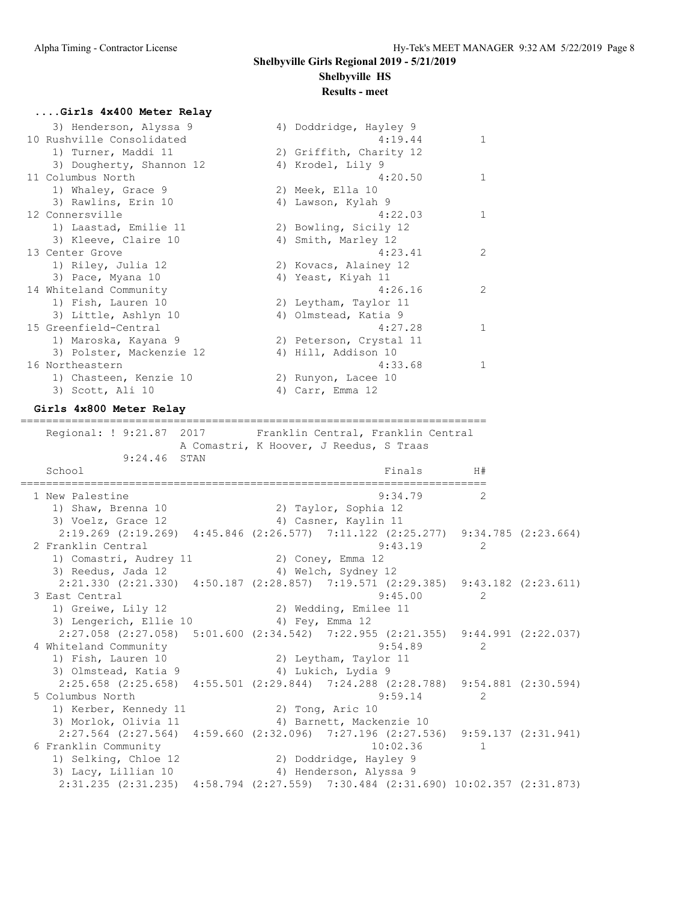#### **....Girls 4x400 Meter Relay**

| 3) Henderson, Alyssa 9<br>10 Rushville Consolidated | 4) Doddridge, Hayley 9<br>4:19.44 | 1              |
|-----------------------------------------------------|-----------------------------------|----------------|
| 1) Turner, Maddi 11                                 | 2) Griffith, Charity 12           |                |
| 3) Dougherty, Shannon 12                            | 4) Krodel, Lily 9                 |                |
| 11 Columbus North                                   | 4:20.50                           | 1              |
| 1) Whaley, Grace 9                                  | 2) Meek, Ella 10                  |                |
| 3) Rawlins, Erin 10                                 | 4) Lawson, Kylah 9                |                |
| 12 Connersville                                     | 4:22.03                           | $\mathbf{1}$   |
| 1) Laastad, Emilie 11                               | 2) Bowling, Sicily 12             |                |
| 3) Kleeve, Claire 10                                | 4) Smith, Marley 12               |                |
| 13 Center Grove                                     | 4:23.41                           | 2              |
| 1) Riley, Julia 12                                  | 2) Kovacs, Alainey 12             |                |
| 3) Pace, Myana 10                                   | 4) Yeast, Kiyah 11                |                |
| 14 Whiteland Community                              | 4:26.16                           | $\mathfrak{D}$ |
| 1) Fish, Lauren 10                                  | 2) Leytham, Taylor 11             |                |
| 3) Little, Ashlyn 10                                | 4) Olmstead, Katia 9              |                |
| 15 Greenfield-Central                               | 4:27.28                           |                |
| 1) Maroska, Kayana 9                                | 2) Peterson, Crystal 11           |                |
| 3) Polster, Mackenzie 12                            | 4) Hill, Addison 10               |                |
| 16 Northeastern                                     | 4:33.68                           |                |
| 1) Chasteen, Kenzie 10                              | 2) Runyon, Lacee 10               |                |
| 3) Scott, Ali 10                                    | 4) Carr, Emma 12                  |                |
|                                                     |                                   |                |

#### **Girls 4x800 Meter Relay**

========================================================================= Regional: ! 9:21.87 2017 Franklin Central, Franklin Central A Comastri, K Hoover, J Reedus, S Traas 9:24.46 STAN School **Finals** H# ========================================================================= 1 New Palestine 2 2 1) Shaw, Brenna 10 2) Taylor, Sophia 12 3) Voelz, Grace 12 (4) Casner, Kaylin 11 2:19.269 (2:19.269) 4:45.846 (2:26.577) 7:11.122 (2:25.277) 9:34.785 (2:23.664)<br>2 143.19 2 Franklin Central 9:43.19 2 1) Comastri, Audrey 11  $\hspace{1.6cm}$  2) Coney, Emma 12 3) Reedus, Jada 12 4) Welch, Sydney 12 2:21.330 (2:21.330) 4:50.187 (2:28.857) 7:19.571 (2:29.385) 9:43.182 (2:23.611) 3 East Central 9:45.00 2 1) Greiwe, Lily 12 2) Wedding, Emilee 11 3) Lengerich, Ellie 10 (4) Fey, Emma 12 2:27.058 (2:27.058) 5:01.600 (2:34.542) 7:22.955 (2:21.355) 9:44.991 (2:22.037) 4 Whiteland Community 9:54.89 9:54.89 2<br>
1) Fish, Lauren 10 2) Leytham, Taylor 11 1) Fish, Lauren 10 2) Leytham, Taylor 11 3) Olmstead, Katia 9 4) Lukich, Lydia 9 2:25.658 (2:25.658) 4:55.501 (2:29.844) 7:24.288 (2:28.788) 9:54.881 (2:30.594) 5 Columbus North 9:59.14 2 1) Kerber, Kennedy 11 2) Tong, Aric 10 3) Morlok, Olivia 11 4) Barnett, Mackenzie 10 2:27.564 (2:27.564) 4:59.660 (2:32.096) 7:27.196 (2:27.536) 9:59.137 (2:31.941)<br>6 Franklin Community 10:02.36 1 6 Franklin Community 10:02.36 1 1) Selking, Chloe 12 2) Doddridge, Hayley 9 3) Lacy, Lillian 10 4) Henderson, Alyssa 9 2:31.235 (2:31.235) 4:58.794 (2:27.559) 7:30.484 (2:31.690) 10:02.357 (2:31.873)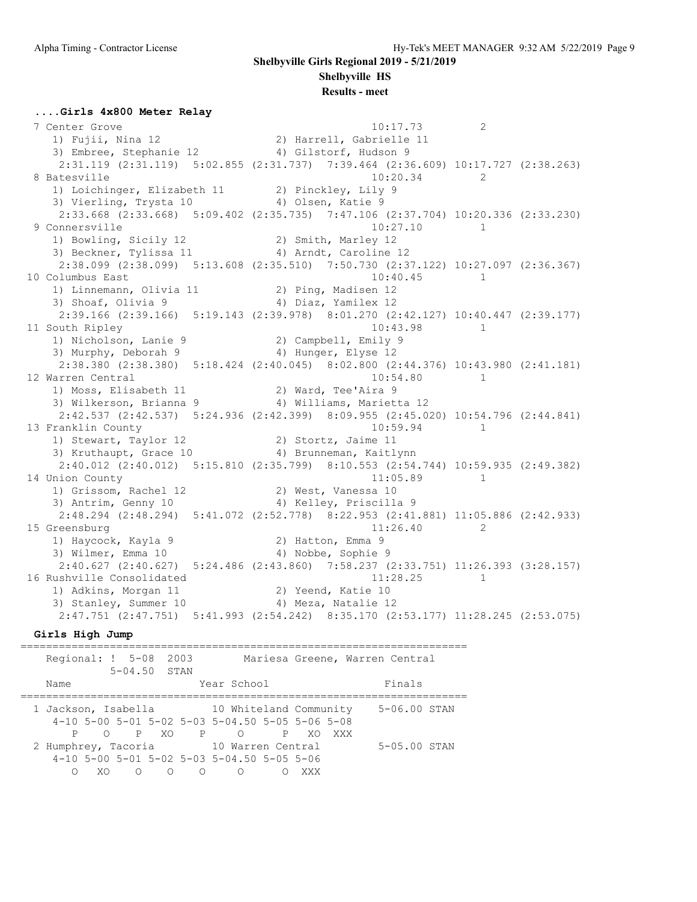**Shelbyville Girls Regional 2019 - 5/21/2019**

**Shelbyville HS**

**Results - meet**

#### **....Girls 4x800 Meter Relay**

7 Center Grove 2012 20:17.73 2 1) Fujii, Nina 12 2) Harrell, Gabrielle 11 3) Embree, Stephanie 12 4) Gilstorf, Hudson 9 2:31.119 (2:31.119) 5:02.855 (2:31.737) 7:39.464 (2:36.609) 10:17.727 (2:38.263) 8 Batesville 2 20.34 2 1) Loichinger, Elizabeth 11 2) Pinckley, Lily 9 3) Vierling, Trysta 10  $\hskip1cm$  4) Olsen, Katie 9 2:33.668 (2:33.668) 5:09.402 (2:35.735) 7:47.106 (2:37.704) 10:20.336 (2:33.230) 9 Connersville 10:27.10 1 1) Bowling, Sicily 12 2) Smith, Marley 12 3) Beckner, Tylissa 11 4) Arndt, Caroline 12 2:38.099 (2:38.099) 5:13.608 (2:35.510) 7:50.730 (2:37.122) 10:27.097 (2:36.367) 10 Columbus East 10:40.45 1 1) Linnemann, Olivia 11 2) Ping, Madisen 12 3) Shoaf, Olivia 9 4) Diaz, Yamilex 12 2:39.166 (2:39.166) 5:19.143 (2:39.978) 8:01.270 (2:42.127) 10:40.447 (2:39.177) 11 South Ripley 10:43.98 1 1) Nicholson, Lanie 9 2) Campbell, Emily 9 3) Murphy, Deborah 9 4) Hunger, Elyse 12 2:38.380 (2:38.380) 5:18.424 (2:40.045) 8:02.800 (2:44.376) 10:43.980 (2:41.181)<br>arren Central 10:54.80 1 12 Warren Central 10:54.80 1 1) Moss, Elisabeth 11 2) Ward, Tee'Aira 9 3) Wilkerson, Brianna 9 4) Williams, Marietta 12 2:42.537 (2:42.537) 5:24.936 (2:42.399) 8:09.955 (2:45.020) 10:54.796 (2:44.841)<br>13 Franklin County 10:59.94 1 13 Franklin County 10:59.94 1 1) Stewart, Taylor 12 (2) Stortz, Jaime 11 3) Kruthaupt, Grace 10 4) Brunneman, Kaitlynn 2:40.012 (2:40.012) 5:15.810 (2:35.799) 8:10.553 (2:54.744) 10:59.935 (2:49.382) 14 Union County 11:05.89 1 1) Grissom, Rachel 12 (2) West, Vanessa 10 3) Antrim, Genny 10 4) Kelley, Priscilla 9 2:48.294 (2:48.294) 5:41.072 (2:52.778) 8:22.953 (2:41.881) 11:05.886 (2:42.933) 15 Greensburg 11:26.40 2 1) Haycock, Kayla 9 2) Hatton, Emma 9 3) Wilmer, Emma 10 4) Nobbe, Sophie 9 2:40.627 (2:40.627) 5:24.486 (2:43.860) 7:58.237 (2:33.751) 11:26.393 (3:28.157)<br>ushville Consolidated 11:28.25 1 16 Rushville Consolidated 11:28.25 1 1) Adkins, Morgan 11 2) Yeend, Katie 10 3) Stanley, Summer 10 (4) Meza, Natalie 12 2:47.751 (2:47.751) 5:41.993 (2:54.242) 8:35.170 (2:53.177) 11:28.245 (2:53.075)

**Girls High Jump**

| Regional: ! 5-08 2003             | $5 - 04.50$ STAN |                      |                                                   | Mariesa Greene, Warren Central |                  |
|-----------------------------------|------------------|----------------------|---------------------------------------------------|--------------------------------|------------------|
| Name                              |                  |                      | Year School                                       |                                | Finals           |
|                                   |                  |                      | 1 Jackson, Isabella 10 Whiteland Community        |                                | 5-06.00 STAN     |
|                                   |                  |                      | $4-10$ 5-00 5-01 5-02 5-03 5-04.50 5-05 5-06 5-08 |                                |                  |
| $\bigcirc$<br>2 Humphrey, Tacoria | PXO PO           |                      | 10 Warren Central                                 | P XO<br>XXX                    | $5 - 05.00$ STAN |
|                                   |                  |                      | $4-10$ 5-00 5-01 5-02 5-03 5-04.50 5-05 5-06      |                                |                  |
| XO.                               | $\cap$           | $\bigcirc$<br>$\cap$ | ∩                                                 | XXX                            |                  |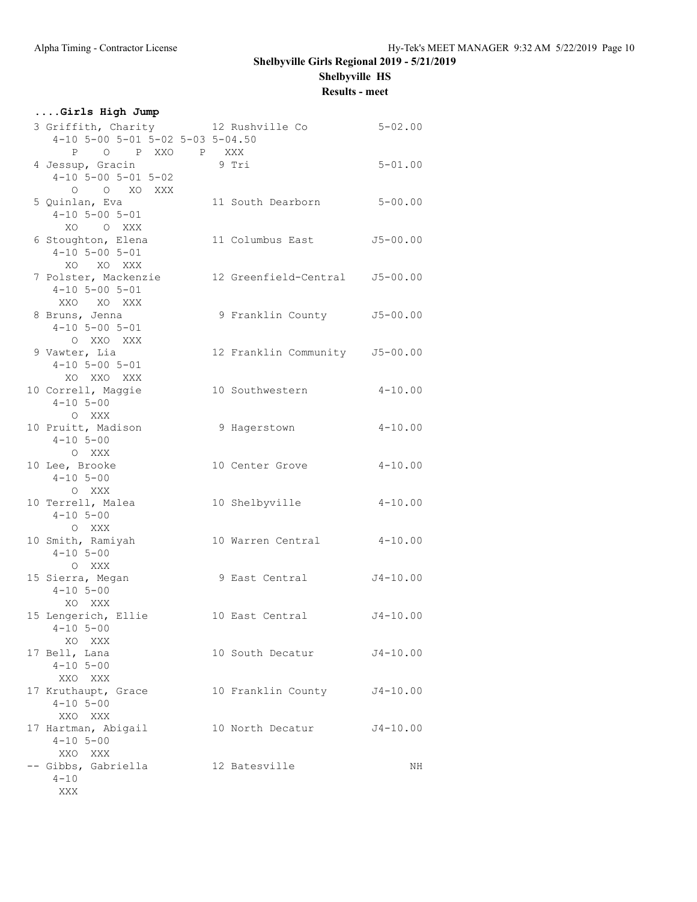**Results - meet**

| Girls High Jump                                                                         |                                |              |
|-----------------------------------------------------------------------------------------|--------------------------------|--------------|
| 3 Griffith, Charity 12 Rushville Co<br>4-10 5-00 5-01 5-02 5-03 5-04.50                 |                                | $5 - 02.00$  |
| P O P XXO P XXX<br>4 Jessup, Gracin<br>$4-10$ 5-00 5-01 5-02<br>O O XO XXX              | 9 Tri                          | $5 - 01.00$  |
| 5 Quinlan, Eva<br>$4-10$ 5-00 5-01<br>XO O XXX                                          | 11 South Dearborn              | $5 - 00.00$  |
| 6 Stoughton, Elena<br>$4 - 10$ 5-00 5-01<br>XO XO XXX                                   | 11 Columbus East               | $J5 - 00.00$ |
| 7 Polster, Mackenzie 12 Greenfield-Central J5-00.00<br>$4 - 10$ 5-00 5-01<br>XXO XO XXX |                                |              |
| 8 Bruns, Jenna<br>$4-10$ 5-00 5-01<br>O XXO XXX                                         | 9 Franklin County J5-00.00     |              |
| 9 Vawter, Lia<br>$4-10$ 5-00 5-01<br>XO XXO XXX                                         | 12 Franklin Community J5-00.00 |              |
| 10 Correll, Maggie<br>$4 - 10$ 5-00<br>O XXX                                            | 10 Southwestern                | $4 - 10.00$  |
| 10 Pruitt, Madison<br>$4 - 10$ 5-00<br>O XXX                                            | 9 Hagerstown                   | $4 - 10.00$  |
| 10 Lee, Brooke<br>$4 - 10$ 5-00<br>O XXX                                                | 10 Center Grove                | $4 - 10.00$  |
| 10 Terrell, Malea<br>$4 - 10$ 5-00<br>O XXX                                             | 10 Shelbyville                 | $4 - 10.00$  |
| 10 Smith, Ramiyah<br>$4 - 10$ 5-00<br>O XXX                                             | 10 Warren Central              | $4 - 10.00$  |
| 15 Sierra, Megan<br>$4 - 10$ 5-00<br>XO XXX                                             | 9 East Central                 | $J4 - 10.00$ |
| 15 Lengerich, Ellie<br>$4 - 10$ 5-00<br>XO XXX                                          | 10 East Central                | $J4 - 10.00$ |
| 17 Bell, Lana<br>$4 - 10$ 5-00<br>XXO XXX                                               | 10 South Decatur               | $J4 - 10.00$ |
| 17 Kruthaupt, Grace<br>$4 - 10$ 5-00<br>XXO XXX                                         | 10 Franklin County J4-10.00    |              |
| 17 Hartman, Abigail<br>$4 - 10$ 5-00<br>XXO XXX                                         | 10 North Decatur               | J4-10.00     |
| -- Gibbs, Gabriella<br>$4 - 10$<br>XXX                                                  | 12 Batesville                  | NH           |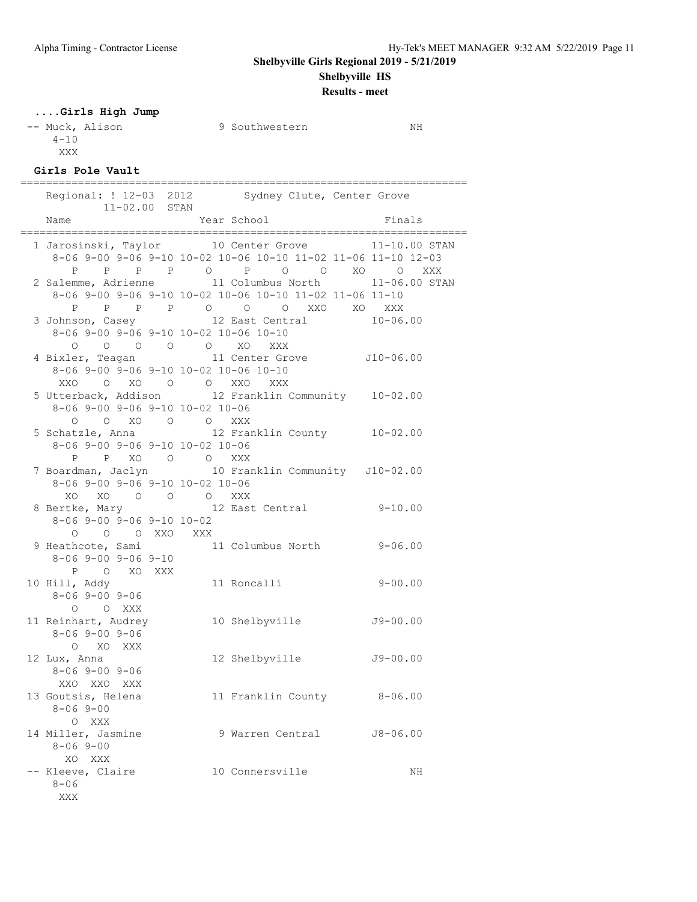**Results - meet**

### **....Girls High Jump**

-- Muck, Alison 9 Southwestern NH  $4 - 10$ XXX

## **Girls Pole Vault**

| $11 - 02.00$ STAN                                             | Regional: ! 12-03 2012 Sydney Clute, Center Grove                                                                                                                                                                                                                 |              |
|---------------------------------------------------------------|-------------------------------------------------------------------------------------------------------------------------------------------------------------------------------------------------------------------------------------------------------------------|--------------|
| Name                                                          | Year School                                                                                                                                                                                                                                                       | Finals       |
|                                                               | 1 Jarosinski, Taylor 10 Center Grove 11-10.00 STAN<br>8-06 9-00 9-06 9-10 10-02 10-06 10-10 11-02 11-06 11-10 12-03<br>P P P P O P O O XO O XXX<br>2 Salemme, Adrienne 11 Columbus North 11-06.00 STAN<br>8-06 9-00 9-06 9-10 10-02 10-06 10-10 11-02 11-06 11-10 |              |
| 8-06 9-00 9-06 9-10 10-02 10-06 10-10                         | P P P P O O O XXO XO XXX<br>3 Johnson, Casey 12 East Central                                                                                                                                                                                                      | $10 - 06.00$ |
| 8-06 9-00 9-06 9-10 10-02 10-06 10-10<br>XXO O XO O O XXO XXX | 0 0 0 0 0 XO XXX<br>4 Bixler, Teagan 11 Center Grove 510-06.00                                                                                                                                                                                                    |              |
| 8-06 9-00 9-06 9-10 10-02 10-06<br>0 0 XO 0 0 XXX             | 5 Utterback, Addison 12 Franklin Community 10-02.00                                                                                                                                                                                                               |              |
| 8-06 9-00 9-06 9-10 10-02 10-06                               | 5 Schatzle, Anna 12 Franklin County 10-02.00                                                                                                                                                                                                                      |              |
| $8-06$ 9-00 9-06 9-10 10-02 10-06                             | P P XO O O XXX<br>7 Boardman, Jaclyn 10 Franklin Community J10-02.00                                                                                                                                                                                              |              |
| XO XO O O O XXX<br>$8-06$ 9-00 9-06 9-10 10-02                | 8 Bertke, Mary 12 East Central 9-10.00                                                                                                                                                                                                                            |              |
| O O O XXO XXX<br>$8 - 069 - 009 - 069 - 10$                   | 9 Heathcote, Sami $11$ Columbus North<br>8-06 9-00 9-06 9-10                                                                                                                                                                                                      | $9 - 06.00$  |
| P O XO XXX<br>8-06 9-00 9-06<br>O O XXX                       | 10 Hill, Addy 11 Roncalli                                                                                                                                                                                                                                         | $9 - 00.00$  |
| 11 Reinhart, Audrey<br>$8 - 069 - 009 - 06$<br>O XO XXX       | 10 Shelbyville J9-00.00                                                                                                                                                                                                                                           |              |
| 12 Lux, Anna<br>$8 - 069 - 009 - 06$<br>XXO XXO XXX           | 12 Shelbyville J9-00.00                                                                                                                                                                                                                                           |              |
| 13 Goutsis, Helena<br>$8 - 069 - 00$<br>O XXX                 | 11 Franklin County                                                                                                                                                                                                                                                | $8 - 06.00$  |
| 14 Miller, Jasmine<br>$8 - 069 - 00$<br>XO XXX                | 9 Warren Central                                                                                                                                                                                                                                                  | $J8 - 06.00$ |
| -- Kleeve, Claire<br>$8 - 06$<br>XXX                          | 10 Connersville                                                                                                                                                                                                                                                   | ΝH           |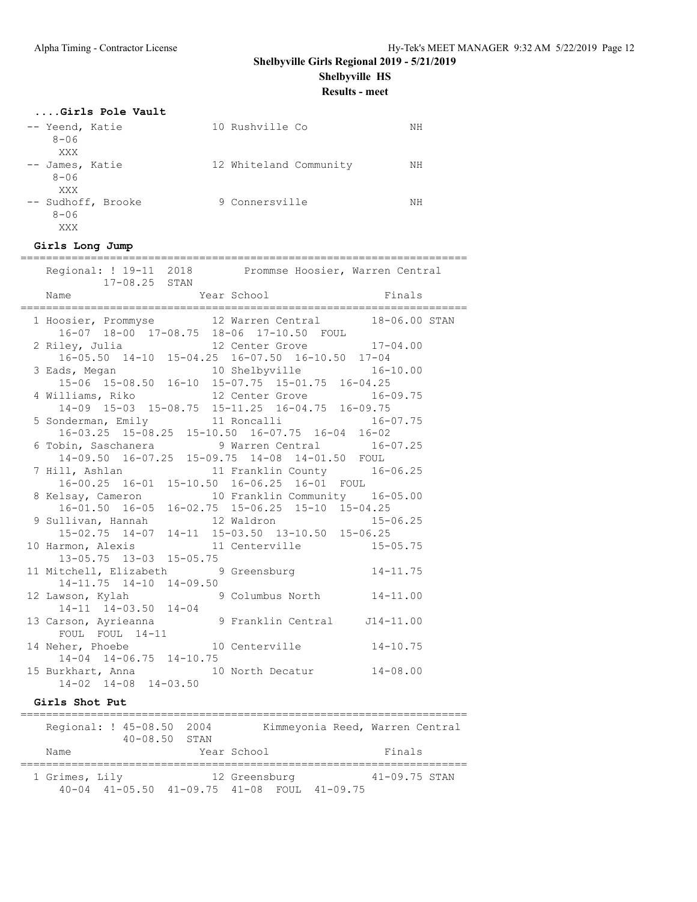# **Shelbyville Girls Regional 2019 - 5/21/2019**

**Shelbyville HS**

**Results - meet**

### **....Girls Pole Vault**

| -- Yeend, Katie<br>$8 - 06$                  | 10 Rushville Co        | NΗ |
|----------------------------------------------|------------------------|----|
| XXX<br>-- James, Katie<br>$8 - 06$           | 12 Whiteland Community | NΗ |
| XXX<br>-- Sudhoff, Brooke<br>$8 - 06$<br>XXX | 9 Connersville         | NΗ |

| Girls Long Jump                                                                                                                     |
|-------------------------------------------------------------------------------------------------------------------------------------|
| ==========================<br>Regional: ! 19-11 2018 Prommse Hoosier, Warren Central<br>17-08.25 STAN                               |
| Finals<br>Year School<br>Name                                                                                                       |
| 1 Hoosier, Prommyse 12 Warren Central 18-06.00 STAN<br>16-07 18-00 17-08.75 18-06 17-10.50 FOUL                                     |
| 12 Center Grove 17-04.00<br>2 Riley, Julia 12 Center Grove 1/-0<br>16-05.50 14-10 15-04.25 16-07.50 16-10.50 17-04                  |
| 3 Eads, Megan 10 Shelbyville 16-10<br>15-06 15-08.50 16-10 15-07.75 15-01.75 16-04.25<br>10 Shelbyville 16-10.00                    |
| 4 Williams, Riko 12 Center Grove<br>$16 - 09.75$<br>$14-09 \quad 15-03 \quad 15-08.75 \quad 15-11.25 \quad 16-04.75 \quad 16-09.75$ |
| 5 Sonderman, Emily 11 Roncalli 16-07.75<br>16-03.25 15-08.25 15-10.50 16-07.75 16-04 16-02                                          |
| 6 Tobin, Saschanera (16-07.25) 9 Warren Central (16-07.25)<br>14-09.50 16-07.25 15-09.75 14-08 14-01.50 FOUL                        |
| 7 Hill, Ashlan 11 Franklin County 16-06.25<br>16-00.25 16-01 15-10.50 16-06.25 16-01 FOUL                                           |
| 8 Kelsay, Cameron 10 Franklin Community 16-05.00<br>$16-01.50$ $16-05$ $16-02.75$ $15-06.25$ $15-10$ $15-04.25$                     |
| 9 Sullivan, Hannah 12 Waldron 15-06.25<br>15-02.75 14-07 14-11 15-03.50 13-10.50 15-06.25                                           |
| 10 Harmon, Alexis 11 Centerville 15-05.75<br>13-05.75 13-03 15-05.75                                                                |
| 11 Mitchell, Elizabeth 9 Greensburg 14-11.75<br>14-11.75 14-10 14-09.50                                                             |
| 12 Lawson, Kylah 9 Columbus North 14-11.00<br>14-11 14-03.50 14-04                                                                  |
| 13 Carson, Ayrieanna (1984) 9 Franklin Central 114-11.00<br>FOUL FOUL 14-11                                                         |
| 10 Centerville 14-10.75<br>14 Neher, Phoebe<br>$14-04$ $14-06.75$ $14-10.75$                                                        |
| 15 Burkhart, Anna 10 North Decatur 14-08.00<br>$14-02$ $14-08$ $14-03.50$                                                           |
| Girls Shot Put                                                                                                                      |
|                                                                                                                                     |

| Regional: ! 45-08.50 2004 |                   |  |               | Kimmeyonia Reed, Warren Central             |                   |  |
|---------------------------|-------------------|--|---------------|---------------------------------------------|-------------------|--|
|                           | $40 - 08.50$ STAN |  |               |                                             |                   |  |
| Name                      |                   |  | Year School   |                                             | Finals            |  |
| 1 Grimes, Lily            |                   |  | 12 Greensburg |                                             | $41 - 09.75$ STAN |  |
|                           |                   |  |               | 40-04 41-05.50 41-09.75 41-08 FOUL 41-09.75 |                   |  |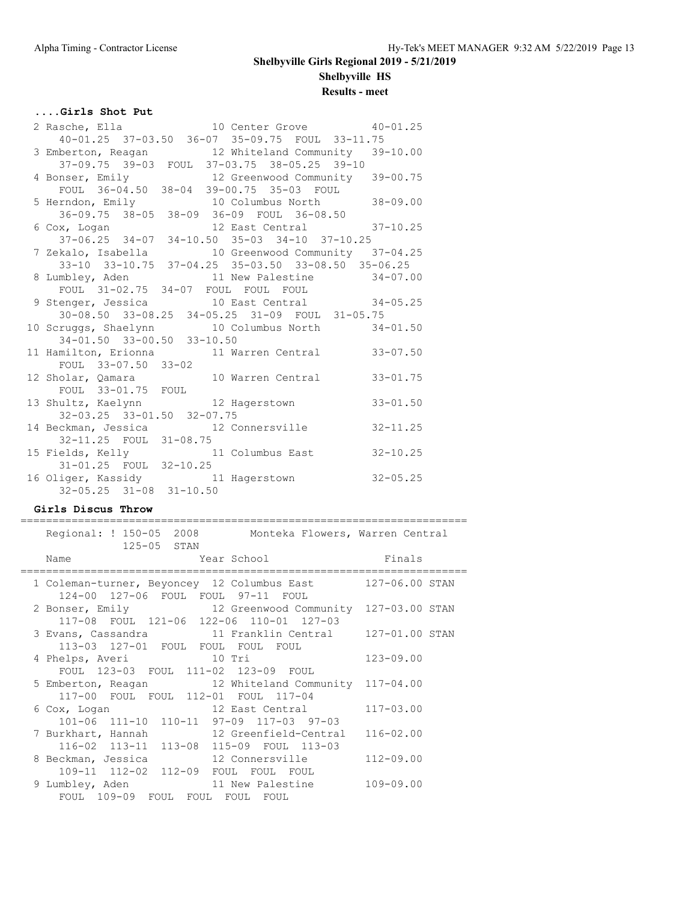### **....Girls Shot Put**

|                            | 40-01.25 37-03.50 36-07 35-09.75 FOUL 33-11.75                                          |
|----------------------------|-----------------------------------------------------------------------------------------|
|                            | 3 Emberton, Reagan 12 Whiteland Community 39-10.00                                      |
|                            | 37-09.75 39-03 FOUL 37-03.75 38-05.25 39-10                                             |
|                            | 4 Bonser, Emily 12 Greenwood Community 39-00.75                                         |
|                            | FOUL 36-04.50 38-04 39-00.75 35-03 FOUL                                                 |
|                            | 5 Herndon, Emily 10 Columbus North 38-09.00<br>36-09.75 38-05 38-09 36-09 FOUL 36-08.50 |
|                            |                                                                                         |
|                            | 6 Cox, Logan 12 East Central 37-10.25                                                   |
|                            | 37-06.25 34-07 34-10.50 35-03 34-10 37-10.25                                            |
|                            | 7 Zekalo, Isabella (10 Greenwood Community 37-04.25)                                    |
|                            | 33-10 33-10.75 37-04.25 35-03.50 33-08.50 35-06.25                                      |
|                            | 8 Lumbley, Aden 11 New Palestine 34-07.00                                               |
|                            | FOUL 31-02.75 34-07 FOUL FOUL FOUL                                                      |
|                            | 9 Stenger, Jessica 10 East Central 34-05.25                                             |
|                            | 30-08.50 33-08.25 34-05.25 31-09 FOUL 31-05.75                                          |
|                            | 10 Scruggs, Shaelynn 10 Columbus North 34-01.50                                         |
|                            | 34-01.50 33-00.50 33-10.50                                                              |
|                            | 11 Hamilton, Erionna 11 Warren Central<br>$33 - 07.50$                                  |
|                            |                                                                                         |
|                            | FOUL 33-07.50 33-02<br>12 Sholar, Qamara 10 Warren Central<br>$33 - 01.75$              |
| FOUL 33-01.75 FOUL         |                                                                                         |
|                            | 13 Shultz, Kaelynn 12 Hagerstown<br>$33 - 01.50$                                        |
| 32-03.25 33-01.50 32-07.75 |                                                                                         |
|                            | 14 Beckman, Jessica 12 Connersville 32-11.25                                            |
| 32-11.25 FOUL 31-08.75     |                                                                                         |
|                            | 15 Fields, Kelly 11 Columbus East<br>$32 - 10.25$                                       |
| 31-01.25 FOUL 32-10.25     |                                                                                         |
|                            | 16 Oliger, Kassidy 11 Hagerstown 32-05.25                                               |
|                            | $32 - 05.25$ $31 - 08$ $31 - 10.50$                                                     |

### **Girls Discus Throw**

====================================================================== Regional: ! 150-05 2008 Monteka Flowers, Warren Central

| 125-05 STAN                                                                                      |               |
|--------------------------------------------------------------------------------------------------|---------------|
| Year School Finals<br>Name                                                                       |               |
| 1 Coleman-turner, Beyoncey 12 Columbus East 127-06.00 STAN<br>124-00 127-06 FOUL FOUL 97-11 FOUL |               |
| 2 Bonser, Emily 12 Greenwood Community 127-03.00 STAN<br>117-08 FOUL 121-06 122-06 110-01 127-03 |               |
| 3 Evans, Cassandra (11 Franklin Central (127-01.00 STAN<br>113-03 127-01 FOUL FOUL FOUL FOUL     |               |
| 4 Phelps, Averi 10 Tri<br>FOUL 123-03 FOUL 111-02 123-09 FOUL                                    | $123 - 09.00$ |
| 5 Emberton, Reagan 12 Whiteland Community 117-04.00<br>117-00 FOUL FOUL 112-01 FOUL 117-04       |               |
| 6 Cox, Logan 12 East Central 117-03.00<br>101-06 111-10 110-11 97-09 117-03 97-03                |               |
| 7 Burkhart, Hannah 12 Greenfield-Central<br>116-02 113-11 113-08 115-09 FOUL 113-03              | $116 - 02.00$ |
| 8 Beckman, Jessica and 12 Connersville 112-09.00<br>109-11 112-02 112-09 FOUL FOUL FOUL          |               |
| 9 Lumbley, Aden 11 New Palestine<br>FOUL 109-09 FOUL FOUL FOUL FOUL                              | $109 - 09.00$ |